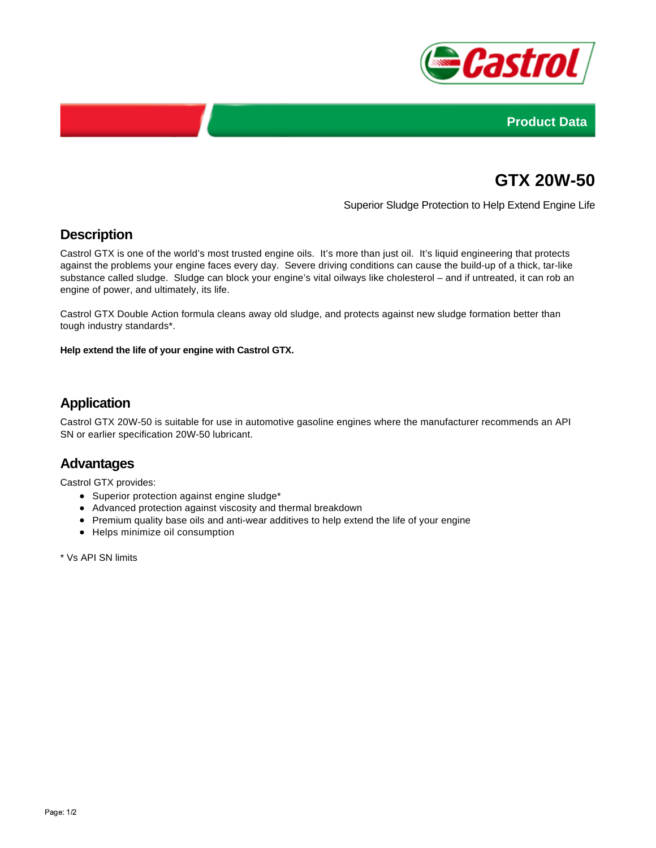



# **GTX 20W-50**

Superior Sludge Protection to Help Extend Engine Life

# **Description**

Castrol GTX is one of the world's most trusted engine oils. It's more than just oil. It's liquid engineering that protects against the problems your engine faces every day. Severe driving conditions can cause the build-up of a thick, tar-like substance called sludge. Sludge can block your engine's vital oilways like cholesterol – and if untreated, it can rob an engine of power, and ultimately, its life.

Castrol GTX Double Action formula cleans away old sludge, and protects against new sludge formation better than tough industry standards\*.

**Help extend the life of your engine with Castrol GTX.**

# **Application**

Castrol GTX 20W-50 is suitable for use in automotive gasoline engines where the manufacturer recommends an API SN or earlier specification 20W-50 lubricant.

#### **Advantages**

Castrol GTX provides:

- Superior protection against engine sludge\*
- Advanced protection against viscosity and thermal breakdown
- Premium quality base oils and anti-wear additives to help extend the life of your engine
- Helps minimize oil consumption

\* Vs API SN limits